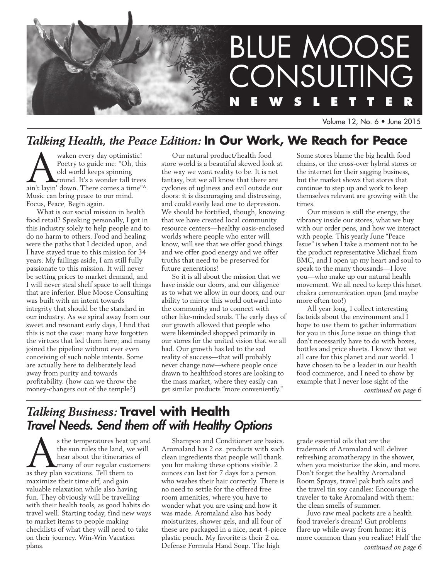

Volume 12, No. 6 • June 2015

# *Talking Health, the Peace Edition:* **In Our Work, We Reach for Peace**

waken every day optimistic!<br>
Poetry to guide me: "Oh, this<br>
old world keeps spinning<br>
round. It's a wonder tall trees<br>
ain't layin' down. There comes a time"^. Poetry to guide me: "Oh, this old world keeps spinning round. It's a wonder tall trees Music can bring peace to our mind. Focus, Peace, Begin again.

What is our social mission in health food retail? Speaking personally, I got in this industry solely to help people and to do no harm to others. Food and healing were the paths that I decided upon, and I have stayed true to this mission for 34 years. My failings aside, I am still fully passionate to this mission. It will never be setting prices to market demand, and I will never steal shelf space to sell things that are inferior. Blue Moose Consulting was built with an intent towards integrity that should be the standard in our industry. As we spiral away from our sweet and resonant early days, I find that this is not the case: many have forgotten the virtues that led them here; and many joined the pipeline without ever even conceiving of such noble intents. Some are actually here to deliberately lead away from purity and towards profitability. (how can we throw the money-changers out of the temple?)

Our natural product/health food store world is a beautiful skewed look at the way we want reality to be. It is not fantasy, but we all know that there are cyclones of ugliness and evil outside our doors: it is discouraging and distressing, and could easily lead one to depression. We should be fortified, though, knowing that we have created local community resource centers—healthy oasis-enclosed worlds where people who enter will know, will see that we offer good things and we offer good energy and we offer truths that need to be preserved for future generations!

So it is all about the mission that we have inside our doors, and our diligence as to what we allow in our doors, and our ability to mirror this world outward into the community and to connect with other like-minded souls. The early days of our growth allowed that people who were likeminded shopped primarily in our stores for the united vision that we all had. Our growth has led to the sad reality of success—that will probably never change now—where people once drawn to healthfood stores are looking to the mass market, where they easily can get similar products "more conveniently."

Some stores blame the big health food chains, or the cross-over hybrid stores or the internet for their sagging business, but the market shows that stores that continue to step up and work to keep themselves relevant are growing with the times.

Our mission is still the energy, the vibrancy inside our stores, what we buy with our order pens, and how we interact with people. This yearly June "Peace Issue" is when I take a moment not to be the product representative Michael from BMC, and I open up my heart and soul to speak to the many thousands—I love you—who make up our natural health movement. We all need to keep this heart chakra communication open (and maybe more often too!)

All year long, I collect interesting factoids about the environment and I hope to use them to gather information for you in this June issue on things that don't necessarily have to do with boxes, bottles and price sheets. I know that we all care for this planet and our world. I have chosen to be a leader in our health food commerce, and I need to show by example that I never lose sight of the *continued on page 6*

# *Talking Business:* **Travel with Health**  *Travel Needs. Send them off with Healthy Options*

s the temperatures heat up and the sun rules the land, we will hear about the itineraries of **Let** many of our regular customers as they plan vacations. Tell them to maximize their time off, and gain valuable relaxation while also having fun. They obviously will be travelling with their health tools, as good habits do travel well. Starting today, find new ways to market items to people making checklists of what they will need to take on their journey. Win-Win Vacation plans.

Shampoo and Conditioner are basics. Aromaland has 2 oz. products with such clean ingredients that people will thank you for making these options visible. 2 ounces can last for 7 days for a person who washes their hair correctly. There is no need to settle for the offered free room amenities, where you have to wonder what you are using and how it was made. Aromaland also has body moisturizes, shower gels, and all four of these are packaged in a nice, neat 4-piece plastic pouch. My favorite is their 2 oz. Defense Formula Hand Soap. The high

grade essential oils that are the trademark of Aromaland will deliver refreshing aromatherapy in the shower, when you moisturize the skin, and more. Don't forget the healthy Aromaland Room Sprays, travel pak bath salts and the travel tin soy candles: Encourage the traveler to take Aromaland with them: the clean smells of summer.

Juvo raw meal packets are a health food traveler's dream! Gut problems flare up while away from home: it is more common than you realize! Half the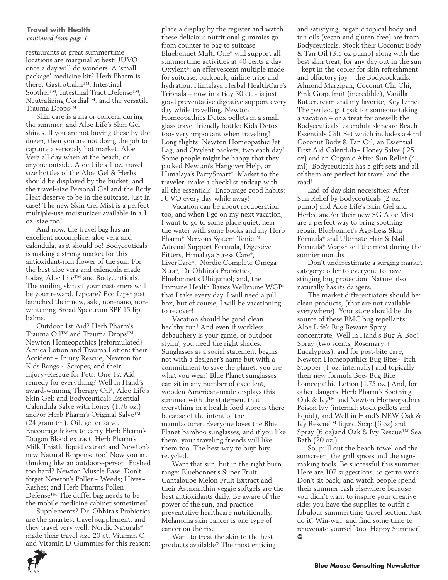#### **Travel with Health**  *continued from page 1*

restaurants at great summertime locations are marginal at best: JUVO once a day will do wonders. A 'small package' medicine kit? Herb Pharm is there: GastroCalm™, Intestinal Soother™, Intestinal Tract Defense™, Neutralizing Cordial™, and the versatile Trauma Drops™

Skin care is a major concern during the summer, and Aloe Life's Skin Gel shines. If you are not buying these by the dozen, then you are not doing the job to capture a seriously hot market. Aloe Vera all day when at the beach, or anyone outside. Aloe Life's 1 oz. travel size bottles of the Aloe Gel & Herbs should be displayed by the bucket, and the travel-size Personal Gel and the Body Heat deserve to be in the suitcase, just in case! The new Skin Gel Mist is a perfect multiple-use moisturizer available in a 1 oz. size too!

And now, the travel bag has an excellent accomplice: aloe vera and calendula, as it should be! Bodyceuticals is making a strong market for this antioxidant-rich flower of the sun. For the best aloe vera and calendula made today, Aloe Life™ and Bodyceuticals. The smiling skin of your customers will be your reward. Lipcare? Eco Lips® just launched their new, safe, non-nano, nonwhitening Broad Spectrum SPF 15 lip balms.

Outdoor 1st Aid? Herb Pharm's Trauma Oil™ and Trauma Drops™, Newton Homeopathics {reformulated} Arnica Lotion and Trauma Lotion: their Accident ~ Injury Rescue, Newton for Kids Bangs ~ Scrapes, and their Injury~Rescue for Pets. One 1st Aid remedy for everything? Well in Hand's award-winning Therapy Oil®, Aloe Life's Skin Gel: and Bodyceuticals Essential Calendula Salve with honey (1.76 oz.) and/or Herb Pharm's Original Salve™ (24 gram tin). Oil, gel or salve. Encourage hikers to carry Herb Pharm's Dragon Blood extract, Herb Pharm's Milk Thistle liquid extract and Newton's new Natural Response too! Now you are thinking like an outdoors-person. Pushed too hard? Newton Muscle Ease. Don't forget Newton's Pollen~ Weeds; Hives~ Rashes; and Herb Pharms Pollen Defense™ The duffel bag needs to be the mobile medicine cabinet sometimes!

Supplements? Dr. Ohhira's Probiotics are the smartest travel supplement, and they travel very well. Nordic Naturals® made their travel size 20 ct, Vitamin C and Vitamin D Gummies for this reason: place a display by the register and watch these delicious nutritional gummies go from counter to bag to suitcase Bluebonnet Multi One® will support all summertime activities at 40 cents a day. Oxylent®: an effervescent multiple made for suitcase, backpack, airline trips and hydration. Himalaya Herbal HealthCare's Triphala – now in a tidy 30 ct. - is just good preventative digestive support every day while travelling. Newton Homeopathics Detox pellets in a small glass travel friendly bottle: Kids Detox too- very important when traveling! Long flights: Newton Homeopathic Jet Lag, and Oxylent packets, two each day! Some people might be happy that they packed Newton's Hangover Help, or Himalaya's PartySmart®. Market to the traveler: make a checklist endcap with all the essentials! Encourage good habits: JUVO every day while away!

Vacation can be about recuperation too, and when I go on my next vacation, I want to go to some place quiet, near the water with some books and my Herb Pharm® Nervous System Tonic™, Adrenal Support Formula, Digestive Bitters, Himalaya Stress Care®, LiverCare®,, Nordic Complete Omega Xtra®, Dr Ohhira's Probiotics, Bluebonnet's Ubiquinol; and, the Immune Health Basics Wellmune WGP® that I take every day. I will need a pill box, but of course, I will be vacationing to recover!

Vacation should be good clean healthy fun! And even if workless debauchery is your game, or outdoor stylin', you need the right shades. Sunglasses as a social statement begins not with a designer's name but with a commitment to save the planet: you are what you wear! Blue Planet sunglasses can sit in any number of excellent, wooden American-made displays this summer with the statement that everything in a health food store is there because of the intent of the manufacturer. Everyone loves the Blue Planet bamboo sunglasses, and if you like them, your traveling friends will like them too. The best way to buy: buy recycled.

Want that sun, but in the right burn range: Bluebonnet's Super Fruit Cantaloupe Melon Fruit Extract and their Astaxanthin veggie softgels are the best antioxidants daily. Be aware of the power of the sun, and practice preventative healthcare nutritionally. Melanoma skin cancer is one type of cancer on the rise.

Want to treat the skin to the best products available? The most enticing and satisfying, organic topical body and tan oils (vegan and gluten-free) are from Bodyceuticals. Stock their Coconut Body & Tan Oil (3.5 oz pump) along with the best skin treat, for any day out in the sun - kept in the cooler for skin refreshment and olfactory joy – the Bodycocktails: Almond Marzipan, Coconut Chi Chi, Pink Grapefruit (incredible), Vanilla Buttercream and my favorite, Key Lime. The perfect gift pak for someone taking a vacation – or a treat for oneself: the Bodyceuticals' calendula skincare Beach Essentials Gift Set which includes a 4 ml Coconut Body & Tan Oil, an Essential First Aid Calendula~ Honey Salve (.25 oz) and an Organic After Sun Relief (4 ml). Bodyceuticals has 5 gift sets and all of them are perfect for travel and the road!

End-of-day skin necessities: After Sun Relief by Bodyceuticals (2 oz. pump) and Aloe Life's Skin Gel and Herbs, and/or their new SG Aloe Mist are a perfect way to bring soothing repair. Bluebonnet's Age-Less Skin Formula® and Ultimate Hair & Nail Formula® Vcaps® sell the most during the sunnier months

Don't underestimate a surging market category: offer to everyone to have stinging bug protection. Nature also naturally has its dangers.

The market differentiators should be: clean products, (that are not available everywhere). Your store should be the source of these BMC bug repellants: Aloe Life's Bug Beware Spray concentrate, Well in Hand's Bug-A-Boo! Spray (two scents, Rosemary + Eucalyptus): and for post-bite care, Newton Homeopathics Bug Bites~ Itch Stopper (1 oz, internally) and topically their new formula Bee- Bug Bite homeopathic Lotion (1.75 oz.) And, for other dangers:Herb Pharm's Soothing Oak & Ivy™ and Newton Homeopathics Poison Ivy (internal: stock pellets and liquid), and Well in Hand's NEW Oak & Ivy Rescue™ liquid Soap (6 oz) and Spray (6 oz)and Oak & Ivy Rescue™ Sea Bath (20 oz.).

So, pull out the beach towel and the sunscreen, the grill spices and the signmaking tools. Be successful this summer. Here are 107 suggestions, so get to work. Don't sit back, and watch people spend their summer cash elsewhere because you didn't want to inspire your creative side: you have the supplies to outfit a fabulous summertime travel section. Just do it! Win-win; and find some time to rejuvenate yourself too. Happy Summer!  $\circ$ 



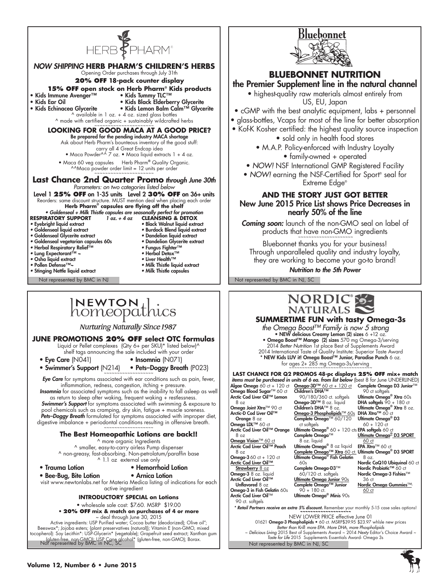



# **BLUEBONNET NUTRITION**

# the Premier Supplement line in the natural channel

• highest-quality raw materials almost entirely from US, EU, Japan

- cGMP with the best analytic equipment, labs + personnel
- glass-bottles, Vcaps for most of the line for better absorption
- Kof-K Kosher certified: the highest quality source inspection

• sold only in health food stores

• M.A.P. Policy-enforced with Industry Loyalty • family-owned + operated

• *NOW!* NSF International GMP Registered Facility

• *NOW!* earning the NSF-Certified for Sport® seal for Extreme Edge®

# **AND THE STORY JUST GOT BETTER** New June 2015 Price List shows Price Decreases in nearly 50% of the line

*Coming soon:* launch of the non-GMO seal on label of products that have non-GMO ingredients

Bluebonnet thanks you for your business! Through unparalleled quality and industry loyalty, they are working to become your go-to brand!

*Nutrition to the 5th Power*



#### **SUMMERTIME FUN with tasty Omega-3s**  *the Omega Boost™ Family is now 5 strong* • NEW delicious Creamy Lemon (2) sizes 6 +12 oz. • Omega Boost™ Mango (2) sizes 570 mg Omega-3/serving 2014 *Better Nutrition* 1st place Best of Supplements Award 2014 International Taste of Quality Institute: Superior Taste Award \* NEW Kids LUV it! Omega Boost™ Junior, Paradise Punch 6 oz. for ages 2+ 285 mg Omega-3s/serving ~~~~~~~~~~~~~~~~~~~~~~~~~~~~~~~~ **LAST CHANCE FOR Q2 PROMOS 48-pc displays 25% OFF mix+ match** *items must be purchased in units of 6 ea. from list below* (best 8 for June UNDERLINED) **Algae Omega** 60 ct + 120 ct<br>**Omega Blood Sugar™** 60 ct<br>Arctic Cod Liver Oil™ Lemon Omega Joint Xtra™ 90 ct Arctic-D Cod Liver Oil™ Orange 8 oz Omega LDL™ 60 ct Arctic Cod Liver Oil™ Orange <u>Omega Vision™ 60 ct</u><br>Arctic Cod Liver Oil™ Peach **Omega-3** 60 ct + 120 ct Arctic Cod Liver Oil™ **Omega-3D™** 60 ct + 120 ct<br>**Children's DHA™**<br>90/180/360 ct. softgels Omega-3D™ 8 oz. liquid Children's DHA™ 8 oz. Omega-3 Phospholipids™ 60s DHA Xtra**™** 60 ct Complete Omega™ 60/120 ct softgels Ultimate Omega**®** 60 + 120 cts EPA softgels 60 ct Complete Omega™ 8 oz. liquid Ultimate Omega<sup>®</sup> 8 oz liquid Complete Omega™ Xtra ó0 ct. Ultimate Omega® D3 SPORT<br>Ultimate Omega® Fish Gelatin 8 oz.  $60s$ Complete Omega-D3™ **Complete Omega D3 Junior™**<br>90 ct softgels<br>**Ultimate Omega® Xtra** 60s Ultimate Omega<sup>®</sup> Xtra 60s<br>DHA softgels 90 + 180 ct Ultimate Omega<sup>®</sup> Xtra 8 oz. Ultimate Omega® D3 60 + 120 ct Ultimate Omega<sup>®</sup> D3 SPORT 60 ct EPA Xtra™ 60 ct Nordic CoQ10 Ubiquinol 60 ct Nordic Probiotic™ 60 ct Nordic Omega-3 Fishies™

60/120 ct. softgels Ultimate Omega Junior 90s Complete Omega™ Junior  $90 + 180$  ct. Ultimate Omega® Minis 90s

*\* Retail Partners receive an extra 5% discount.* Remember your monthly 5-15 case sales options! *~~~~~~~~~~~~~~~~~~~~*

36 ct

60 ct

Nordic Omega Gummies™

Not represented by BMC in NJ, SC NEW LOWER PRICE effective June 01<br>1621 **Omega-3 Phospholipids •** 60 ct. MSRP\$39.95 \$23.97 whlsle new prices<br>*Better than Krill: more EPA. More DHA, more Phospholipids* ~ *Delicious Living* 2015 Best of Supplements Award ~ 2014 *Nexty* Editor's Choice Award ~ *Taste for Life* 2015 Supplements Essentials Award- Omega 3s

Not represented by BMC in NC, SC

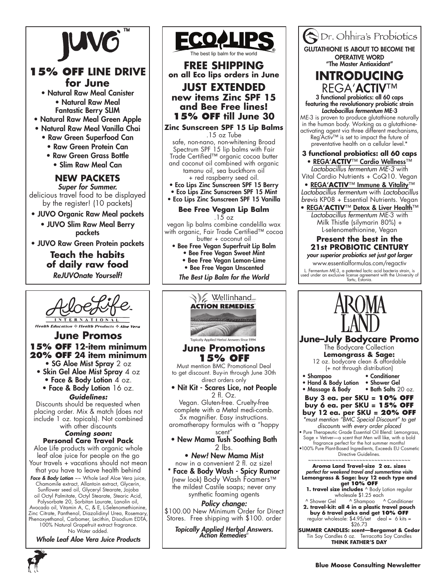

# **15% OFF LINE DRIVE for June**

- Natural Raw Meal Canister • Natural Raw Meal Fantastic Berry SLIM
- Natural Raw Meal Green Apple
- Natural Raw Meal Vanilla Chai
	- Raw Green Superfood Can
		- Raw Green Protein Can
		- Raw Green Grass Bottle • Slim Raw Meal Can

#### **NEW PACKETS**  *Super for Summer.*

delicious travel food to be displayed by the register! (10 packets)

- JUVO Organic Raw Meal packets
	- JUVO Slim Raw Meal Berry packets
- JUVO Raw Green Protein packets

# **Teach the habits of daily raw food** *ReJUVOnate Yourself!*

**Health Education & Health Products & Aloe Vera** 

## **June Promos 15% OFF 12-item minimum 20% OFF 24 item minimum**

- SG Aloe Mist Spray 2 oz • Skin Gel Aloe Mist Spray 4 oz • Face & Body Lotion 4 oz. • Face & Body Lotion 16 oz.
	- *Guidelines:*

Discounts should be requested when placing order. Mix & match (does not include 1 oz. topicals). Not combined

#### with other discounts *Coming soon:*

**Personal Care Travel Pack** Aloe Life products with organic whole leaf aloe juice for people on the go Your travels + vacations should not mean that you have to leave health behind **Face & Body Lotion**  $\sim \sim$  Whole Leaf Aloe Vera juice, Chamomile extract, Allantoin extract, Glycerin, Sunflower seed oil, Glyceryl Stearate, Jojoba oil Octyl Palmitate, Octyl Stearate, Stearic Acid, Polysorbate 20, Sorbitan Laurate, Lanolin oil, Avocado oil, Vitamin A, C, & E, L-Selenomethionine, Zinc Citrate, Panthenol, Diazolidinyl Urea, Rosemary, Phenoxyethanol, Carbomer, Lecithin, Disodium EDTA, 100% Natural Grapefruit extract fragrance. No Water added.

*Whole Leaf Aloe Vera Juice Products*



**Bee Free Vegan Lip Balm** 

.15 oz

vegan lip balms combine candelilla wax with organic, Fair Trade Certified™ cocoa butter + coconut oil

- Bee Free Vegan Superfruit Lip Balm • Bee Free Vegan Sweet Mint
	- Bee Free Vegan Lemon-Lime
	- Bee Free Vegan Unscented

*The Best Lip Balm for the World*



*Policy change:* \$100.00 New Minimum Order for Direct Stores. Free shipping with \$100. order

*Topically Applied Herbal Answers. Action Remedies*®



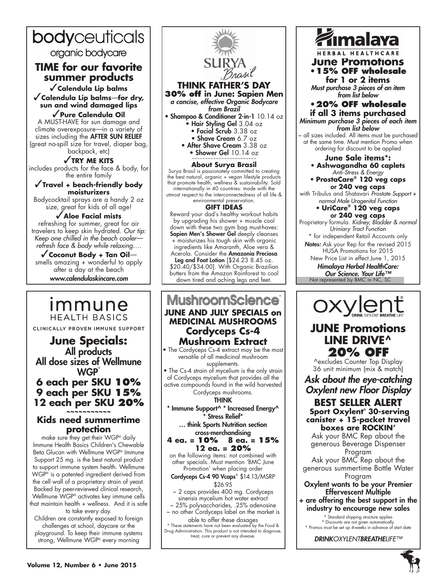# bodyceuticals

organic bodycare

# **TIME for our favorite summer products**

✓**Calendula Lip balms** ✓**Calendula Lip balms***—***for dry, sun and wind damaged lips**

✓**Pure Calendula Oil** A MUST-HAVE for sun damage and climate overexposure*—*in a variety of sizes including the **AFTER SUN RELIEF** (great no-spill size for travel, diaper bag, backpack, etc)

✓**TRY ME KITS** includes products for the face & body, for the entire family

✓**Travel + beach-friendly body moisturizers**

Bodycocktail sprays are a handy 2 oz size, great for kids of all age!

## ✓**Aloe Facial mists**

refreshing for summer, great for air travelers to keep skin hydrated. *Our tip: Keep one chilled in the beach cooler refresh face & body while relaxing….*

✓**Coconut Body + Tan Oil** smells amazing + wonderful to apply after a day at the beach www.calendulaskincare.com

# <u>Immune</u> **HEALTH BASICS**

CLINICALLY PROVEN IMMUNE SUPPORT

# **June Specials:** All products All dose sizes of Wellmune **WGP 6 each per SKU 10% 9 each per SKU 15%**

## **12 each per SKU 20% ~~~~~~~~~~~ Kids need summertime**

## **protection** make sure they get their WGP® daily

Immune Health Basics Children's Chewable Beta Glucan with Wellmune WGP® Immune Support 25 mg. is the best natural product to support immune system health. Wellmune WGP® is a patented ingredient derived from the cell wall of a proprietary strain of yeast. Backed by peer-reviewed clinical research, Wellmune WGP® activates key immune cells that maintain health + wellness. And it is safe to take every day.

Children are constantly exposed to foreign challenges at school, daycare or the playground. To keep their immune systems strong, Wellmune WGP® every morning



**THINK FATHER'S DAY 30% off in June: Sapien Men** 

*a concise, effective Organic Bodycare from Brazil*

- Shampoo & Conditioner 2-in-1 10.14 oz • Hair Styling Gel 3.04 oz
	- Facial Scrub 3.38 oz
	- Shave Cream 6.7 oz
	- After Shave Cream 3.38 oz • Shower Gel  $10.14$  oz

#### **About Surya Brasil**

Surya Brasil is passionately committed to creating the best natural, organic + vegan lifestyle products that promote health, wellness & sustainability. Sold internationally in 40 countries: made with the utmost respect to the interconnectedness of all life & environmental preservation.

#### **GIFT IDEAS**

Reward your dad's healthy workout habits by upgrading his shower + muscle cool down with these two gym bag must-haves: Sapien Men's Shower Gel deeply cleanses + moisturizes his tough skin with organic ingredients like Amaranth, Aloe vera & Acerola. Consider the Amazonia Preciosa Leg and Foot Lotion [\$24.23 8.45 oz. \$20.40/\$34.00]. With Organic Brazilian butters from the Amazon Rainforest to cool down tired and aching legs and feet.

# **MushroomScience June and July SPECIALS on MEDICINAL MUSHROOMS Cordyceps Cs-4 Mushroom Extract**

• The Cordyceps Cs-4 extract may be the most versatile of all medicinal mushroom supplements.

• The Cs-4 strain of mycelium is the only strain of Cordyceps mycelium that provides all the active compounds found in the wild harvested

Cordyceps mushrooms. THINK

\* Immune Support^ \* Increased Energy^ \* Stress Relief\*

… think Sports Nutrition section cross-merchandising

#### **4 ea. = 10% 8 ea. = 15% 12 ea. = 20%**

on the following items: not combined with other specials. Must mention 'BMC June Promotion' when placing order

Cordyceps Cs-4 90 Vcaps® \$14.13/MSRP

\$26.95

~ 2 caps provides 400 mg. Cordyceps sinensis mycelium hot water extract

~ 25% polysaccharides, .25% adenosine ~ no other Cordyceps label on the market is

able to offer these dosages \* These statements have not been evaluated by the Food & Drug Administration. This product is not intended to diagnose, treat, cure or prevent any disease.

# imalaya

**JUNE Promotions June Promotions •15% OFF wholesale** 

**for 1 or 2 items** Must purchase 3 pieces of an item *from list below*

**•20% OFF wholesale if all 3 items purchased** Minimum purchase 3 pieces of each item

*from list below* all sizes included. All items must be purchased at the same time. Must mention Promo when ordering for discount to be applied

**June Sale items\*:** • **Ashwagandha 60 caplets**

*Anti-Stress & Energy* • **ProstaCare® 120 veg caps** or **240 veg caps** 

with Tribulus and Shatavari *Prostate Support + normal Male Urogenital Function*

#### • **UriCare® 120 veg caps** or **240 veg caps**

Proprietary formula. *Kidney, Bladder & normal Uriniary Tract Function*

\* for independent Retail Accounts only *Notes:* Ask your Rep for the revised 2015 HUSA Promotions for 2015 New Price List in effect June 1, 2015

*Himalaya Herbal HealthCare: Our Science. Your Life™*

Not represented by BMC in NC, SC



# **JUNE Promotions LINE DRIVE^ 20% OFF**

^excludes Counter Top Display 36 unit minimum (mix & match)

Ask about the eye-catching *Oxylent new Floor Display*

**BEST SELLER ALERT Sport Oxylent® 30-serving canister + 15-packet travel boxes are ROCKIN'**

Ask your BMC Rep about the generous Beverage Dispenser Program

Ask your BMC Rep about the generous summertime Bottle Water Program

#### Oxylent wants to be your Premier Effervescent Multiple

+ are offering the best support in the industry to encourage new sales

\* Standard shipping structure applies \* Discounts are not given automatically. \* Promos must be set up 4-weeks in advance of start date

*DRINKOXYLENTBREATHELIFE™*

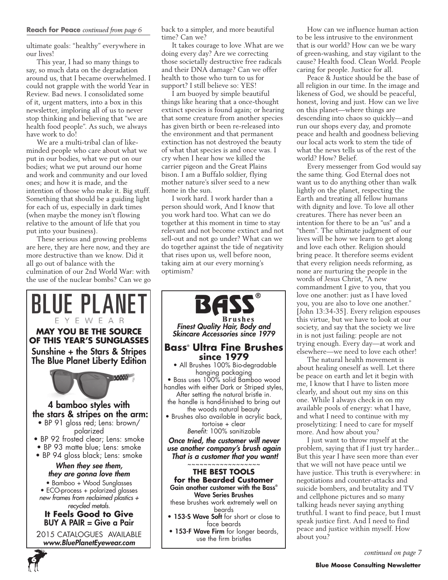ultimate goals: "healthy" everywhere in our lives!

This year, I had so many things to say, so much data on the degradation around us, that I became overwhelmed. I could not grapple with the world Year in Review. Bad news. I consolidated some of it, urgent matters, into a box in this newsletter, imploring all of us to never stop thinking and believing that "we are health food people". As such, we always have work to do!

We are a multi-tribal clan of likeminded people who care about what we put in our bodies, what we put on our bodies; what we put around our home and work and community and our loved ones; and how it is made, and the intention of those who make it. Big stuff. Something that should be a guiding light for each of us, especially in dark times (when maybe the money isn't flowing relative to the amount of life that you put into your business).

These serious and growing problems are here, they are here now, and they are more destructive than we know. Did it all go out of balance with the culmination of our 2nd World War: with the use of the nuclear bombs? Can we go



**6**

back to a simpler, and more beautiful time? Can we?

It takes courage to love .What are we doing every day? Are we correcting those societally destructive free radicals and their DNA damage? Can we offer health to those who turn to us for support? I still believe so: YES!

I am buoyed by simple beautiful things like hearing that a once-thought extinct species is found again; or hearing that some creature from another species has given birth or been re-released into the environment and that permanent extinction has not destroyed the beauty of what that species is and once was. I cry when I hear how we killed the carrier pigeon and the Great Plains bison. I am a Buffalo soldier, flying mother nature's silver seed to a new home in the sun.

I work hard. I work harder than a person should work, And I know that you work hard too. What can we do together at this moment in time to stay relevant and not become extinct and not sell-out and not go under? What can we do together against the tide of negativity that rises upon us, well before noon, taking aim at our every morning's optimism?



How can we influence human action to be less intrusive to the environment that is our world? How can we be wary of green-washing, and stay vigilant to the cause? Health food. Clean World. People caring for people. Justice for all.

Peace & Justice should be the base of all religion in our time. In the image and likeness of God, we should be peaceful, honest, loving and just. How can we live on this planet—where things are descending into chaos so quickly—and run our shops every day, and promote peace and health and goodness believing our local acts work to stem the tide of what the news tells us of the rest of the world? How? Belief.

Every messenger from God would say the same thing. God Eternal does not want us to do anything other than walk lightly on the planet, respecting the Earth and treating all fellow humans with dignity and love. To love all other creatures. There has never been an intention for there to be an "us" and a "them". The ultimate judgment of our lives will be how we learn to get along and love each other. Religion should bring peace. It therefore seems evident that every religion needs reforming, as none are nurturing the people in the words of Jesus Christ, "A new commandment I give to you, that you love one another: just as I have loved you, you are also to love one another." [John 13:34-35]. Every religion espouses this virtue, but we have to look at our society, and say that the society we live in is not just failing: people are not trying enough. Every day—at work and elsewhere—we need to love each other!

The natural health movement is about healing oneself as well. Let there be peace on earth and let it begin with me, I know that I have to listen more clearly, and shout out my sins on this one. While I always check in on my available pools of energy: what I have, and what I need to continue with my proselytizing: I need to care for myself more. And how about you?

I just want to throw myself at the problem, saying that if I just try harder... But this year I have seen more than ever that we will not have peace until we have justice. This truth is everywhere: in negotiations and counter-attacks and suicide bombers, and brutality and TV and cellphone pictures and so many talking heads never saying anything truthful. I want to find peace, but I must speak justice first. And I need to find peace and justice within myself. How about you?

*continued on page 7*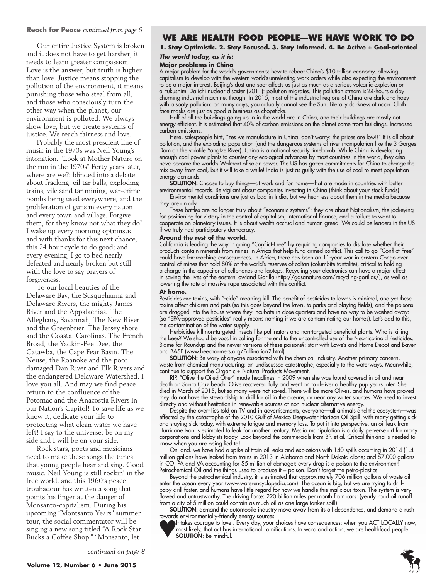#### **Reach for Peace** *continued from page 6*

Our entire Justice System is broken and it does not have to get harsher; it needs to learn greater compassion. Love is the answer, but truth is higher than love. Justice means stopping the pollution of the environment, it means punishing those who steal from all, and those who consciously turn the other way when the planet, our environment is polluted. We always show love, but we create systems of justice. We reach fairness and love.

Probably the most prescient line of music in the 1970s was Neil Young's intonation. "Look at Mother Nature on the run in the 1970s" Forty years later, where are we?: blinded into a debate about fracking, oil tar balls, exploding trains, vile sand tar mining, war-crime bombs being used everywhere, and the proliferation of guns in every nation and every town and village. Forgive them, for they know not what they do! I wake up every morning optimistic and with thanks for this next chance, this 24 hour cycle to do good; and every evening, I go to bed nearly defeated and nearly broken but still with the love to say prayers of forgiveness.

To our local beauties of the Delaware Bay, the Susquehanna and Delaware Rivers, the mighty James River and the Appalachias. The Alleghany, Savannah; The New River and the Greenbrier. The Jersey shore and the Coastal Carolinas. The French Broad, the Yadkin-Pee Dee, the Catawba, the Cape Fear Basin. The Neuse, the Roanoke and the poor damaged Dan River and Elk Rivers and the endangered Delaware Watershed. I love you all. And may we find peace return to the confluence of the Potomac and the Anacostia Rivers in our Nation's Capitol! To save life as we know it, dedicate your life to protecting what clean water we have left! I say to the universe: be on my side and I will be on your side.

Rock stars, poets and musicians need to make these songs the tunes that young people hear and sing. Good music. Neil Young is still rockin' in the free world, and this 1960's peace troubadour has written a song that points his finger at the danger of Monsanto-capitalism. During his upcoming "Montsanto Years" summer tour, the social commentator will be singing a new song titled "A Rock Star Bucks a Coffee Shop." "Monsanto, let

## **We Are Health Food People—We have work to do**

**1. Stay Optimistic. 2. Stay Focused. 3. Stay Informed. 4. Be Active + Goal-oriented** 

#### *The world today, as it is:* **Major problems in China**

A major problem for the world's governments: how to reboot China's \$10 trillion economy, allowing capitalism to develop with the western world's unrelenting work orders while also expecting the environment to be a major interest. Beijing's dust and soot affects us just as much as a serious volcanic explosion or a Fukushimi Daiichi nuclear disaster (2011): pollution migrates. This pollution stream is24-hours a day churning industrial machine, though! In 2015, most of the industrial regions of China are dark and hazy with a sooty pollution: on many days, you actually cannot see the Sun. Literally darkness at noon. Cloth face-masks are just as good a business as chopsticks.

Half of all the buildings going up in in the world are in China, and their buildings are mostly not energy efficient. It is estimated that 40% of carbon emissions on the planet come from buildings. Increased carbon emissions.

Here, salespeople hint, "Yes we manufacture in China, don't worry: the prices are low!!" It is all about pollution, and the exploding population (and the dangerous systems of river manipulation like the 3 Gorges Dam on the volatile Yangtze River). China is a national security timebomb. While China is developing enough coal power plants to counter any ecological advances by most countries in the world, they also have become the world's Walmart of solar power. The US has gotten commitments for China to change the mix away from coal, but it will take a while! India is just as guilty with the use of coal to meet population energy demands.

SOLUTION: Choose to buy things—at work and for home—that are made in countries with better environmental records. Be vigilant about companies investing in China (think about your stock funds)

Environmental conditions are just as bad in India, but we hear less about them in the media because they are an ally.

These battles are no longer truly about "economic systems": they are about Nationalism, the jockeying for positioning for victory in the control of capitalism, international finance, and a failure to want to cooperate on planetary issues. It is about wealth accrual and human greed. We could be leaders in the US if we truly had participatory democracy.

#### **Around the rest of the world.**

California is leading the way in going "Conflict-Free" by requiring companies to disclose whether their products contain minerals from mines in Africa that help fund armed conflict. This call to go "Conflict-Free" could have far-reaching consequences. In Africa, there has been an 11-year war in eastern Congo over control of mines that hold 80% of the world's reserves of coltan (columbite-tantalite), critical to holding a charge in the capacitor of cellphones and laptops. Recycling your electronics can have a major effect in saving the lives of the eastern lowland Gorilla (http://gasanature.com/recycling-gorillas/), as well as lowering the rate of massive rape associated with this conflict.

#### **At home.**

Pesticides are toxins, with "-cide" meaning kill. The benefit of pesticides to lawns is minimal, and yet these toxins affect children and pets (so this goes beyond the lawn, to parks and playing fields), and the poisons are dragged into the house where they incubate in close quarters and have no way to be washed away: (so "EPA-approved pesticides" really means nothing if we are contaminating our homes). Let's add to this, the contamination of the water supply.

Herbicides kill non-targeted insects like pollinators and non-targeted beneficial plants. Who is killing the bees? We should be vocal in calling for the end to the uncontrolled use of the Neonicotinoid Pesticides. Blame for Roundup and the newer versions of these poisons?: start with Lowe's and Home Depot and Bayer and BASF (www.beecharmers.org/Pollination2.html).

SOLUTION: Be wary of anyone associated with the chemical industry. Another primary concern, waste from chemical manufacturing: an undiscussed catastrophe, especially to the waterways. Meanwhile, continue to support the Organic + Natural Products Movement.

RIP. "Olive the Oiled Otter" made headlines in 2009 when she was found covered in oil and near death on Santa Cruz beach. Olive recovered fully and went on to deliver a healthy pup years later. She died in March of 2015, but so many were not saved. There will be more Olives, and humans have proved they do not have the stewardship to drill for oil in the oceans, or near any water sources. We need to invest directly and without hesitation in renewable sources of non-nuclear alternative energy.

Despite the overt lies told on TV and in advertisements, everyone—all animals and the ecosystem—was effected by the catastrophe of the 2010 Gulf of Mexico Deepwater Horizon Oil Spill, with many getting sick and staying sick today, with extreme fatigue and memory loss. To put it into perspective, an oil leak from Hurricane Ivan is estimated to leak for another century. Media manipulation is a daily perverse art for many corporations and lobbyists today. Look beyond the commercials from BP, et al. Critical thinking is needed to know when you are being lied to!

On land. we have had a spike of train oil leaks and explosions with 140 spills occurring in 2014 (1.4 million gallons have leaked from trains in 2013 in Alabama and North Dakota alone; and 57,000 gallons in CO, PA and VA accounting for \$5 million of damage): every drop is a poison to the environment! Petrochemical Oil and the things used to produce it = poison. Don't forget the petro-plastics.

Beyond the petrochemical industry, it is estimated that approximately 706 million gallons of waste oil enter the ocean every year (www.waterencyclopedia.com). The ocean is big, but we are trying to drillbaby-drill faster, and humans have little regard for how we handle this malicious toxin. The system is very flawed and untrustworthy. The driving force: 220 billion miles per month from cars: (yearly road oil runoff from a city of 5 million could contain as much oil as one large tanker spill)

SOLUTION: demand the automobile industry move away from its oil dependence, and demand a rush towards environmentally-friendly energy sources.

It takes courage to love!. Every day, your choices have consequences: when you ACT LOCALLY now, most likely, that act has international ramifications. In word and action, we are healthfood people. SOLUTION: Be mindful.

**7**

*continued on page 8*